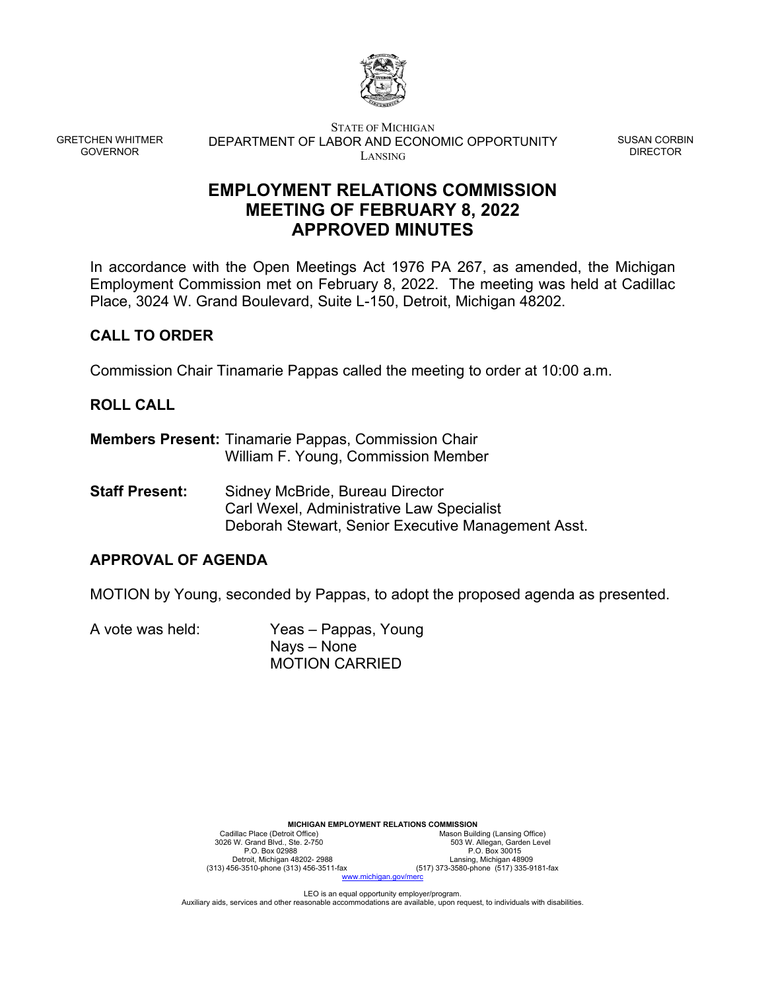

GRETCHEN WHITMER GOVERNOR

STATE OF MICHIGAN DEPARTMENT OF LABOR AND ECONOMIC OPPORTUNITY LANSING

SUSAN CORBIN DIRECTOR

# **EMPLOYMENT RELATIONS COMMISSION MEETING OF FEBRUARY 8, 2022 APPROVED MINUTES**

In accordance with the Open Meetings Act 1976 PA 267, as amended, the Michigan Employment Commission met on February 8, 2022. The meeting was held at Cadillac Place, 3024 W. Grand Boulevard, Suite L-150, Detroit, Michigan 48202.

## **CALL TO ORDER**

Commission Chair Tinamarie Pappas called the meeting to order at 10:00 a.m.

## **ROLL CALL**

- **Members Present:** Tinamarie Pappas, Commission Chair William F. Young, Commission Member
- **Staff Present:** Sidney McBride, Bureau Director Carl Wexel, Administrative Law Specialist Deborah Stewart, Senior Executive Management Asst.

## **APPROVAL OF AGENDA**

MOTION by Young, seconded by Pappas, to adopt the proposed agenda as presented.

A vote was held: Yeas – Pappas, Young Nays – None MOTION CARRIED

| <b>MICHIGAN EMPLOYMENT RELATIONS COMMISSION</b> |                                         |  |
|-------------------------------------------------|-----------------------------------------|--|
| Cadillac Place (Detroit Office)                 | Mason Building (Lansing Office)         |  |
| 3026 W. Grand Blvd., Ste. 2-750                 | 503 W. Allegan, Garden Level            |  |
| P.O. Box 02988                                  | P.O. Box 30015                          |  |
| Detroit, Michigan 48202-2988                    | Lansing, Michigan 48909                 |  |
| (313) 456-3510-phone (313) 456-3511-fax         | (517) 373-3580-phone (517) 335-9181-fax |  |
| www.michigan.gov/merc                           |                                         |  |

LEO is an equal opportunity employer/program. Auxiliary aids, services and other reasonable accommodations are available, upon request, to individuals with disabilities.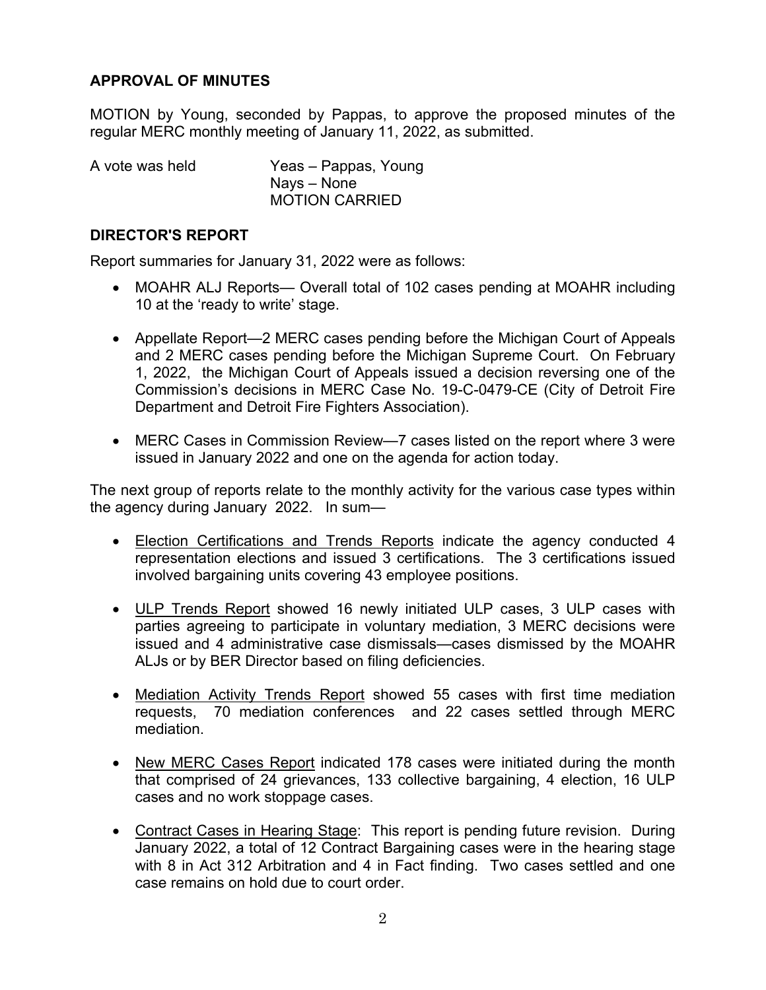## **APPROVAL OF MINUTES**

MOTION by Young, seconded by Pappas, to approve the proposed minutes of the regular MERC monthly meeting of January 11, 2022, as submitted.

| A vote was held | Yeas – Pappas, Young  |
|-----------------|-----------------------|
|                 | Nays – None           |
|                 | <b>MOTION CARRIED</b> |

#### **DIRECTOR'S REPORT**

Report summaries for January 31, 2022 were as follows:

- MOAHR ALJ Reports— Overall total of 102 cases pending at MOAHR including 10 at the 'ready to write' stage.
- Appellate Report—2 MERC cases pending before the Michigan Court of Appeals and 2 MERC cases pending before the Michigan Supreme Court. On February 1, 2022, the Michigan Court of Appeals issued a decision reversing one of the Commission's decisions in MERC Case No. 19-C-0479-CE (City of Detroit Fire Department and Detroit Fire Fighters Association).
- MERC Cases in Commission Review—7 cases listed on the report where 3 were issued in January 2022 and one on the agenda for action today.

The next group of reports relate to the monthly activity for the various case types within the agency during January 2022. In sum—

- Election Certifications and Trends Reports indicate the agency conducted 4 representation elections and issued 3 certifications. The 3 certifications issued involved bargaining units covering 43 employee positions.
- ULP Trends Report showed 16 newly initiated ULP cases, 3 ULP cases with parties agreeing to participate in voluntary mediation, 3 MERC decisions were issued and 4 administrative case dismissals—cases dismissed by the MOAHR ALJs or by BER Director based on filing deficiencies.
- Mediation Activity Trends Report showed 55 cases with first time mediation requests, 70 mediation conferences and 22 cases settled through MERC mediation.
- New MERC Cases Report indicated 178 cases were initiated during the month that comprised of 24 grievances, 133 collective bargaining, 4 election, 16 ULP cases and no work stoppage cases.
- Contract Cases in Hearing Stage: This report is pending future revision. During January 2022, a total of 12 Contract Bargaining cases were in the hearing stage with 8 in Act 312 Arbitration and 4 in Fact finding. Two cases settled and one case remains on hold due to court order.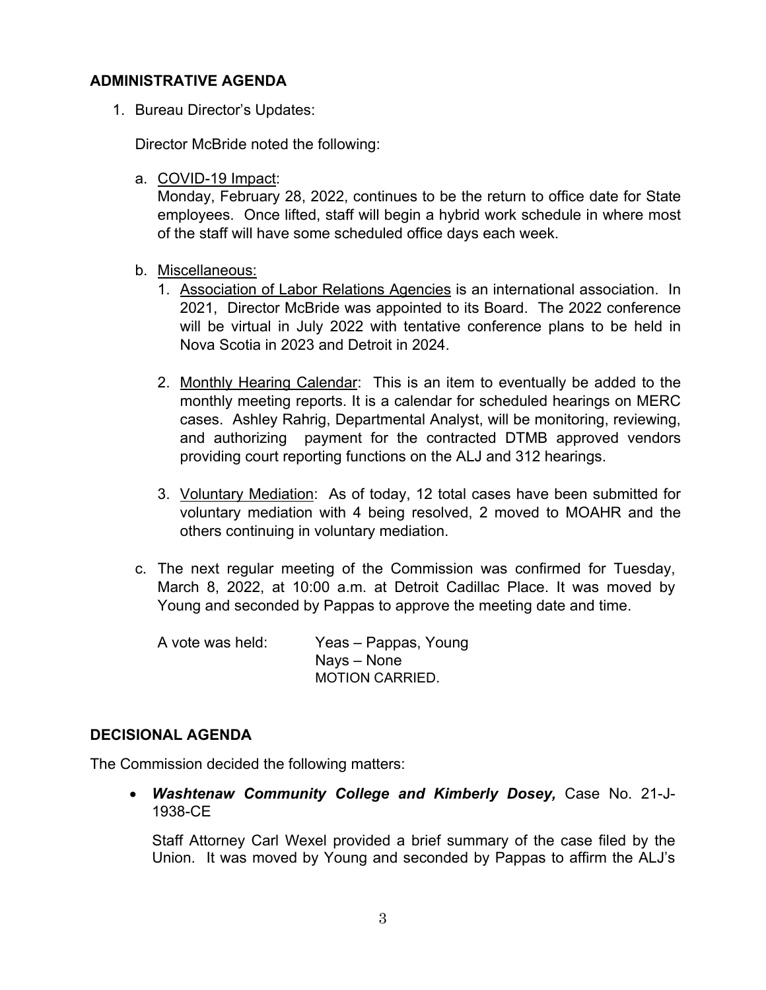## **ADMINISTRATIVE AGENDA**

1. Bureau Director's Updates:

Director McBride noted the following:

a. COVID-19 Impact:

Monday, February 28, 2022, continues to be the return to office date for State employees. Once lifted, staff will begin a hybrid work schedule in where most of the staff will have some scheduled office days each week.

- b. Miscellaneous:
	- 1. Association of Labor Relations Agencies is an international association. In 2021, Director McBride was appointed to its Board. The 2022 conference will be virtual in July 2022 with tentative conference plans to be held in Nova Scotia in 2023 and Detroit in 2024.
	- 2. Monthly Hearing Calendar: This is an item to eventually be added to the monthly meeting reports. It is a calendar for scheduled hearings on MERC cases. Ashley Rahrig, Departmental Analyst, will be monitoring, reviewing, and authorizing payment for the contracted DTMB approved vendors providing court reporting functions on the ALJ and 312 hearings.
	- 3. Voluntary Mediation: As of today, 12 total cases have been submitted for voluntary mediation with 4 being resolved, 2 moved to MOAHR and the others continuing in voluntary mediation.
- c. The next regular meeting of the Commission was confirmed for Tuesday, March 8, 2022, at 10:00 a.m. at Detroit Cadillac Place. It was moved by Young and seconded by Pappas to approve the meeting date and time.

A vote was held: Yeas – Pappas, Young Nays – None MOTION CARRIED.

## **DECISIONAL AGENDA**

The Commission decided the following matters:

 *Washtenaw Community College and Kimberly Dosey,* Case No. 21-J-1938-CE

Staff Attorney Carl Wexel provided a brief summary of the case filed by the Union. It was moved by Young and seconded by Pappas to affirm the ALJ's